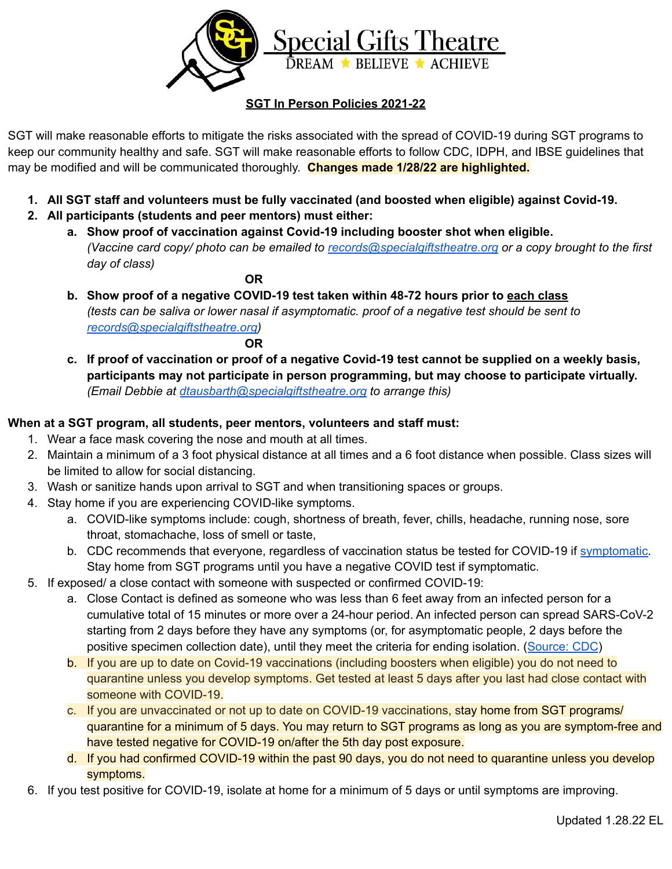

## **SGT In Person Policies 2021-22**

SGT will make reasonable efforts to mitigate the risks associated with the spread of COVID-19 during SGT programs to keep our community healthy and safe. SGT will make reasonable efforts to follow CDC, IDPH, and IBSE guidelines that may be modified and will be communicated thoroughly. **Changes made 1/28/22 are highlighted.**

- **1. All SGT staff and volunteers must be fully vaccinated (and boosted when eligible) against Covid-19.**
- **2. All participants (students and peer mentors) must either:**
	- **a. Show proof of vaccination against Covid-19 including booster shot when eligible.** *(Vaccine card copy/ photo can be emailed to [records@specialgiftstheatre.org](mailto:records@specialgiftstheatre.org) or a copy brought to the first day of class)*

**OR**

**b. Show proof of a negative COVID-19 test taken within 48-72 hours prior to each class** *(tests can be saliva or lower nasal if asymptomatic. proof of a negative test should be sent to [records@specialgiftstheatre.org\)](mailto:records@specialgiftstheatre.org)*

**OR**

c. If proof of vaccination or proof of a negative Covid-19 test cannot be supplied on a weekly basis, **participants may not participate in person programming, but may choose to participate virtually.** *(Email Debbie at [dtausbarth@specialgiftstheatre.org](mailto:dtausbarth@specialgiftstheatre.org) to arrange this)*

## **When at a SGT program, all students, peer mentors, volunteers and staff must:**

- 1. Wear a face mask covering the nose and mouth at all times.
- 2. Maintain a minimum of a 3 foot physical distance at all times and a 6 foot distance when possible. Class sizes will be limited to allow for social distancing.
- 3. Wash or sanitize hands upon arrival to SGT and when transitioning spaces or groups.
- 4. Stay home if you are experiencing COVID-like symptoms.
	- a. COVID-like symptoms include: cough, shortness of breath, fever, chills, headache, running nose, sore throat, stomachache, loss of smell or taste,
	- b. CDC recommends that everyone, regardless of vaccination status be tested for COVID-19 if [symptomatic.](https://www.cdc.gov/coronavirus/2019-ncov/symptoms-testing/symptoms.html) Stay home from SGT programs until you have a negative COVID test if symptomatic.
- 5. If exposed/ a close contact with someone with suspected or confirmed COVID-19:
	- a. Close Contact is defined as someone who was less than 6 feet away from an infected person for a cumulative total of 15 minutes or more over a 24-hour period. An infected person can spread SARS-CoV-2 starting from 2 days before they have any symptoms (or, for asymptomatic people, 2 days before the positive specimen collection date), until they meet the criteria for ending isolation. ([Source:](https://www.cdc.gov/coronavirus/2019-ncov/php/contact-tracing/contact-tracing-plan/appendix.html#contact) CDC)
	- b. If you are up to date on Covid-19 vaccinations (including boosters when eligible) you do not need to quarantine unless you develop symptoms. Get tested at least 5 days after you last had close contact with someone with COVID-19.
	- c. If you are unvaccinated or not up to date on COVID-19 vaccinations, stay home from SGT programs/ quarantine for a minimum of 5 days. You may return to SGT programs as long as you are symptom-free and have tested negative for COVID-19 on/after the 5th day post exposure.
	- d. If you had confirmed COVID-19 within the past 90 days, you do not need to quarantine unless you develop symptoms.
- 6. If you test positive for COVID-19, isolate at home for a minimum of 5 days or until symptoms are improving.